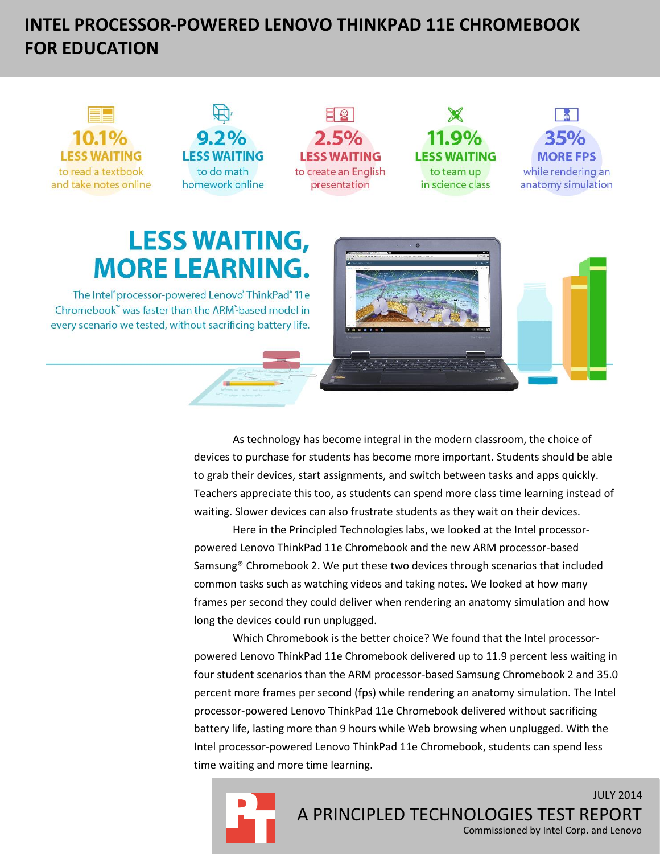# **INTEL PROCESSOR-POWERED LENOVO THINKPAD 11E CHROMEBOOK FOR EDUCATION**



As technology has become integral in the modern classroom, the choice of devices to purchase for students has become more important. Students should be able to grab their devices, start assignments, and switch between tasks and apps quickly. Teachers appreciate this too, as students can spend more class time learning instead of waiting. Slower devices can also frustrate students as they wait on their devices.

Here in the Principled Technologies labs, we looked at the Intel processorpowered Lenovo ThinkPad 11e Chromebook and the new ARM processor-based Samsung® Chromebook 2. We put these two devices through scenarios that included common tasks such as watching videos and taking notes. We looked at how many frames per second they could deliver when rendering an anatomy simulation and how long the devices could run unplugged.

Which Chromebook is the better choice? We found that the Intel processorpowered Lenovo ThinkPad 11e Chromebook delivered up to 11.9 percent less waiting in four student scenarios than the ARM processor-based Samsung Chromebook 2 and 35.0 percent more frames per second (fps) while rendering an anatomy simulation. The Intel processor-powered Lenovo ThinkPad 11e Chromebook delivered without sacrificing battery life, lasting more than 9 hours while Web browsing when unplugged. With the Intel processor-powered Lenovo ThinkPad 11e Chromebook, students can spend less time waiting and more time learning.



Commissioned by Intel Corp. and Lenovo

JULY 2014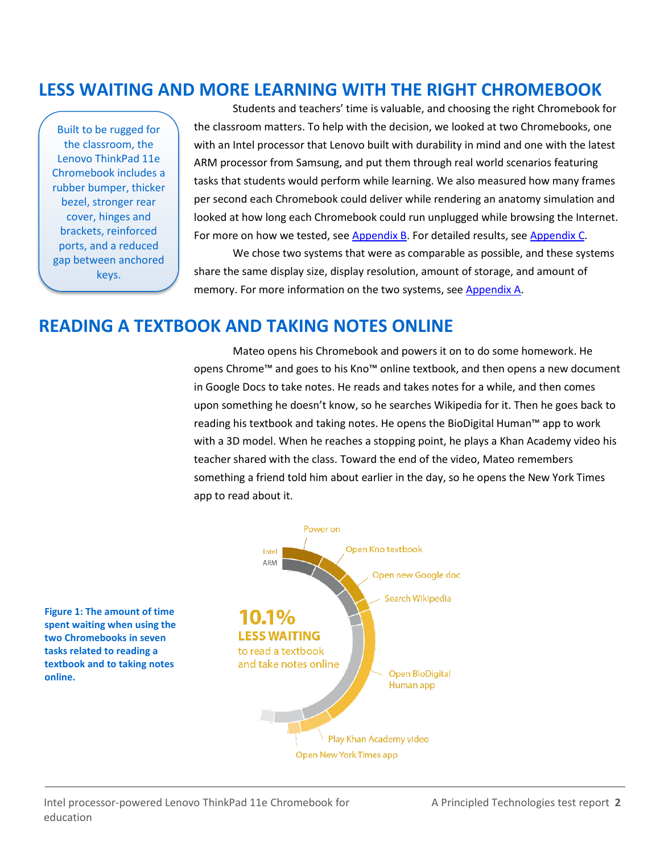### **LESS WAITING AND MORE LEARNING WITH THE RIGHT CHROMEBOOK**

Built to be rugged for the classroom, the Lenovo ThinkPad 11e Chromebook includes a rubber bumper, thicker bezel, stronger rear cover, hinges and brackets, reinforced ports, and a reduced gap between anchored keys.

**online.**

Students and teachers' time is valuable, and choosing the right Chromebook for the classroom matters. To help with the decision, we looked at two Chromebooks, one with an Intel processor that Lenovo built with durability in mind and one with the latest ARM processor from Samsung, and put them through real world scenarios featuring tasks that students would perform while learning. We also measured how many frames per second each Chromebook could deliver while rendering an anatomy simulation and looked at how long each Chromebook could run unplugged while browsing the Internet. For more on how we tested, see **Appendix B**. For detailed results, see [Appendix C.](#page-12-0)

We chose two systems that were as comparable as possible, and these systems share the same display size, display resolution, amount of storage, and amount of memory. For more information on the two systems, see [Appendix A.](#page-7-0)

### **READING A TEXTBOOK AND TAKING NOTES ONLINE**

Mateo opens his Chromebook and powers it on to do some homework. He opens Chrome™ and goes to his Kno™ online textbook, and then opens a new document in Google Docs to take notes. He reads and takes notes for a while, and then comes upon something he doesn't know, so he searches Wikipedia for it. Then he goes back to reading his textbook and taking notes. He opens the BioDigital Human™ app to work with a 3D model. When he reaches a stopping point, he plays a Khan Academy video his teacher shared with the class. Toward the end of the video, Mateo remembers something a friend told him about earlier in the day, so he opens the New York Times app to read about it.



Intel processor-powered Lenovo ThinkPad 11e Chromebook for A Principled Technologies test report **2** education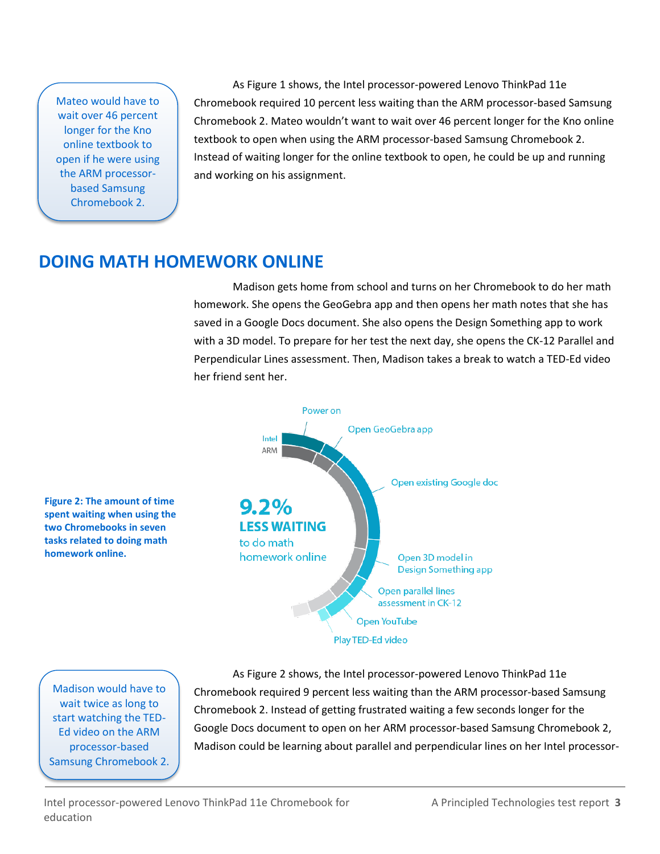Mateo would have to wait over 46 percent longer for the Kno online textbook to open if he were using the ARM processorbased Samsung Chromebook 2.

As Figure 1 shows, the Intel processor-powered Lenovo ThinkPad 11e Chromebook required 10 percent less waiting than the ARM processor-based Samsung Chromebook 2. Mateo wouldn't want to wait over 46 percent longer for the Kno online textbook to open when using the ARM processor-based Samsung Chromebook 2. Instead of waiting longer for the online textbook to open, he could be up and running and working on his assignment.

# **DOING MATH HOMEWORK ONLINE**

Madison gets home from school and turns on her Chromebook to do her math homework. She opens the GeoGebra app and then opens her math notes that she has saved in a Google Docs document. She also opens the Design Something app to work with a 3D model. To prepare for her test the next day, she opens the CK-12 Parallel and Perpendicular Lines assessment. Then, Madison takes a break to watch a TED-Ed video her friend sent her.



Madison would have to wait twice as long to start watching the TED-Ed video on the ARM processor-based Samsung Chromebook 2.

As Figure 2 shows, the Intel processor-powered Lenovo ThinkPad 11e Chromebook required 9 percent less waiting than the ARM processor-based Samsung Chromebook 2. Instead of getting frustrated waiting a few seconds longer for the Google Docs document to open on her ARM processor-based Samsung Chromebook 2, Madison could be learning about parallel and perpendicular lines on her Intel processor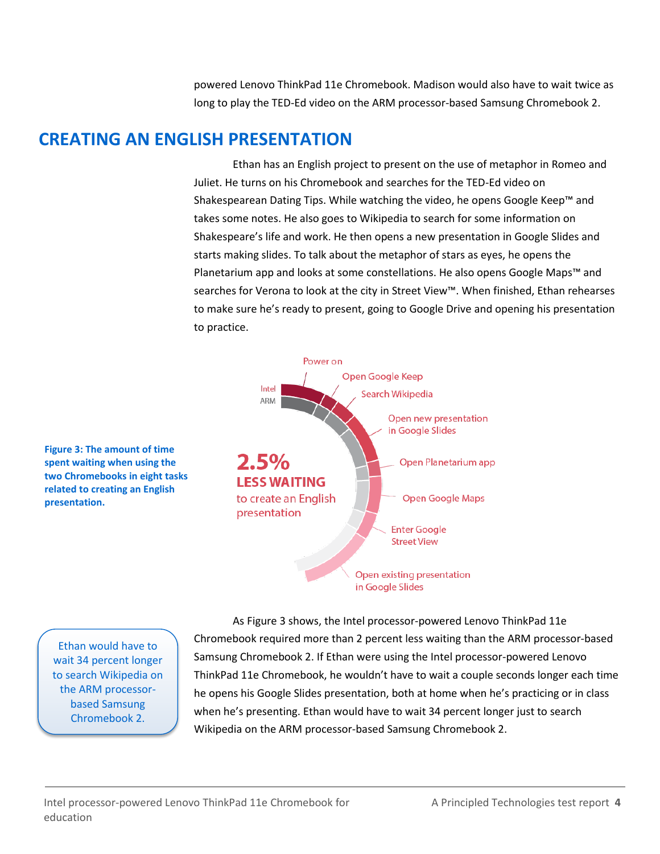powered Lenovo ThinkPad 11e Chromebook. Madison would also have to wait twice as long to play the TED-Ed video on the ARM processor-based Samsung Chromebook 2.

### **CREATING AN ENGLISH PRESENTATION**

Ethan has an English project to present on the use of metaphor in Romeo and Juliet. He turns on his Chromebook and searches for the TED-Ed video on Shakespearean Dating Tips. While watching the video, he opens Google Keep™ and takes some notes. He also goes to Wikipedia to search for some information on Shakespeare's life and work. He then opens a new presentation in Google Slides and starts making slides. To talk about the metaphor of stars as eyes, he opens the Planetarium app and looks at some constellations. He also opens Google Maps™ and searches for Verona to look at the city in Street View™. When finished, Ethan rehearses to make sure he's ready to present, going to Google Drive and opening his presentation to practice.



**Figure 3: The amount of time spent waiting when using the two Chromebooks in eight tasks related to creating an English presentation.**

Ethan would have to wait 34 percent longer to search Wikipedia on the ARM processorbased Samsung Chromebook 2.

As Figure 3 shows, the Intel processor-powered Lenovo ThinkPad 11e Chromebook required more than 2 percent less waiting than the ARM processor-based Samsung Chromebook 2. If Ethan were using the Intel processor-powered Lenovo ThinkPad 11e Chromebook, he wouldn't have to wait a couple seconds longer each time he opens his Google Slides presentation, both at home when he's practicing or in class when he's presenting. Ethan would have to wait 34 percent longer just to search Wikipedia on the ARM processor-based Samsung Chromebook 2.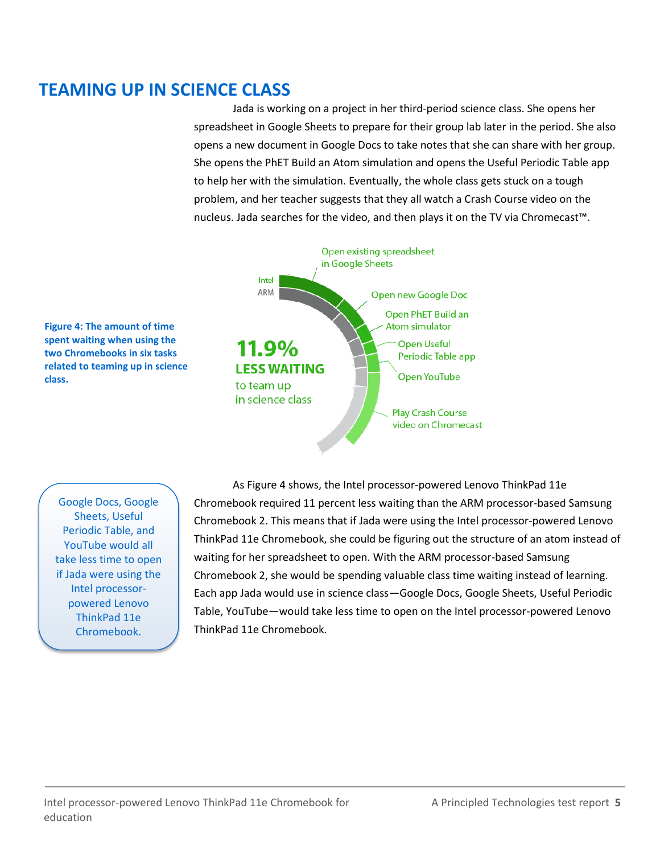## **TEAMING UP IN SCIENCE CLASS**

Jada is working on a project in her third-period science class. She opens her spreadsheet in Google Sheets to prepare for their group lab later in the period. She also opens a new document in Google Docs to take notes that she can share with her group. She opens the PhET Build an Atom simulation and opens the Useful Periodic Table app to help her with the simulation. Eventually, the whole class gets stuck on a tough problem, and her teacher suggests that they all watch a Crash Course video on the nucleus. Jada searches for the video, and then plays it on the TV via Chromecast™.



**Figure 4: The amount of time spent waiting when using the two Chromebooks in six tasks related to teaming up in science class.**

Google Docs, Google Sheets, Useful Periodic Table, and YouTube would all take less time to open if Jada were using the Intel processorpowered Lenovo ThinkPad 11e Chromebook.

As Figure 4 shows, the Intel processor-powered Lenovo ThinkPad 11e Chromebook required 11 percent less waiting than the ARM processor-based Samsung Chromebook 2. This means that if Jada were using the Intel processor-powered Lenovo ThinkPad 11e Chromebook, she could be figuring out the structure of an atom instead of waiting for her spreadsheet to open. With the ARM processor-based Samsung Chromebook 2, she would be spending valuable class time waiting instead of learning. Each app Jada would use in science class—Google Docs, Google Sheets, Useful Periodic Table, YouTube—would take less time to open on the Intel processor-powered Lenovo ThinkPad 11e Chromebook.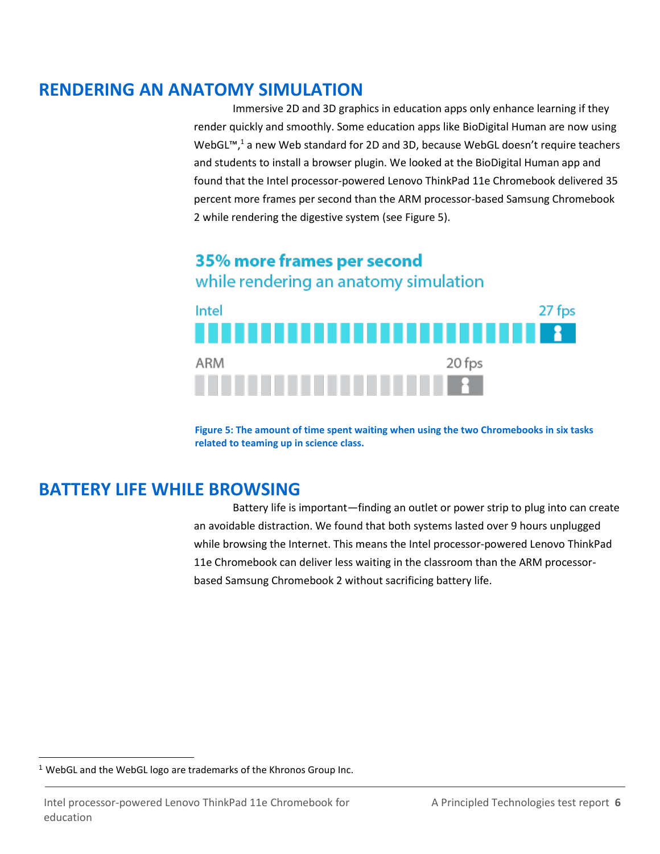### **RENDERING AN ANATOMY SIMULATION**

Immersive 2D and 3D graphics in education apps only enhance learning if they render quickly and smoothly. Some education apps like BioDigital Human are now using WebGL<sup>™</sup>,<sup>1</sup> a new Web standard for 2D and 3D, because WebGL doesn't require teachers and students to install a browser plugin. We looked at the BioDigital Human app and found that the Intel processor-powered Lenovo ThinkPad 11e Chromebook delivered 35 percent more frames per second than the ARM processor-based Samsung Chromebook 2 while rendering the digestive system (see Figure 5).

### 35% more frames per second while rendering an anatomy simulation



**Figure 5: The amount of time spent waiting when using the two Chromebooks in six tasks related to teaming up in science class.**

# **BATTERY LIFE WHILE BROWSING**

Battery life is important—finding an outlet or power strip to plug into can create an avoidable distraction. We found that both systems lasted over 9 hours unplugged while browsing the Internet. This means the Intel processor-powered Lenovo ThinkPad 11e Chromebook can deliver less waiting in the classroom than the ARM processorbased Samsung Chromebook 2 without sacrificing battery life.

 $\overline{\phantom{a}}$ 

<sup>&</sup>lt;sup>1</sup> WebGL and the WebGL logo are trademarks of the Khronos Group Inc.

Intel processor-powered Lenovo ThinkPad 11e Chromebook for A Principled Technologies test report **6** education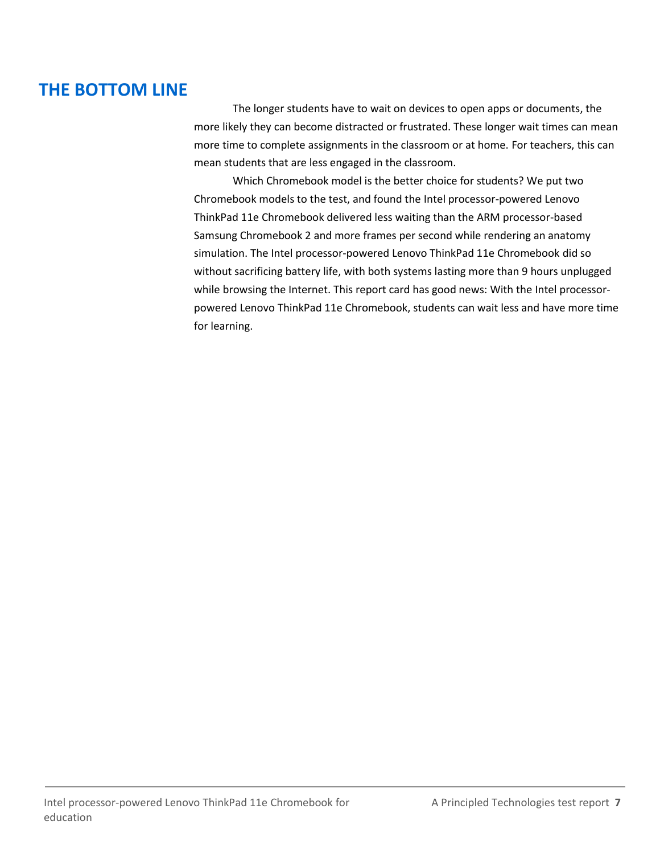# **THE BOTTOM LINE**

The longer students have to wait on devices to open apps or documents, the more likely they can become distracted or frustrated. These longer wait times can mean more time to complete assignments in the classroom or at home. For teachers, this can mean students that are less engaged in the classroom.

Which Chromebook model is the better choice for students? We put two Chromebook models to the test, and found the Intel processor-powered Lenovo ThinkPad 11e Chromebook delivered less waiting than the ARM processor-based Samsung Chromebook 2 and more frames per second while rendering an anatomy simulation. The Intel processor-powered Lenovo ThinkPad 11e Chromebook did so without sacrificing battery life, with both systems lasting more than 9 hours unplugged while browsing the Internet. This report card has good news: With the Intel processorpowered Lenovo ThinkPad 11e Chromebook, students can wait less and have more time for learning.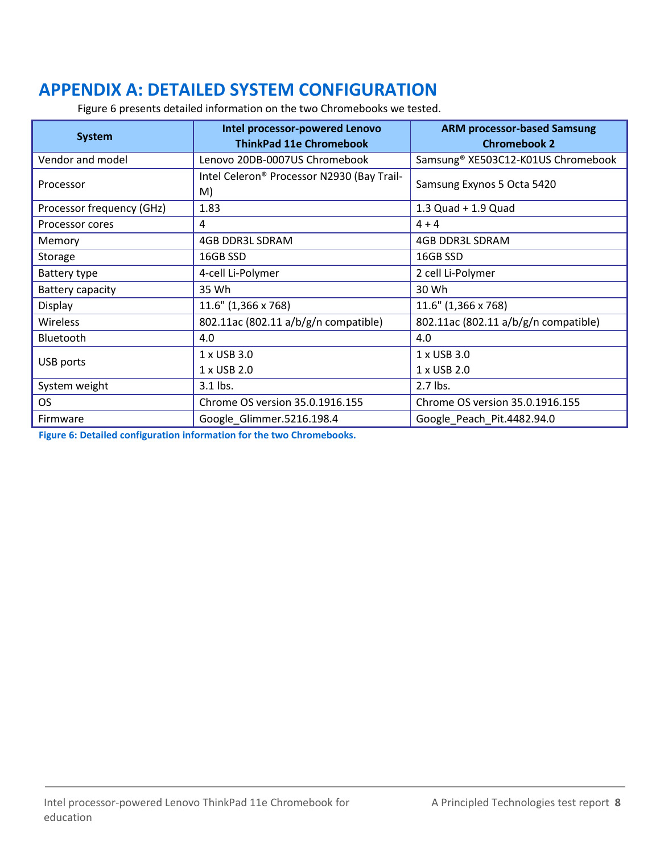# <span id="page-7-0"></span>**APPENDIX A: DETAILED SYSTEM CONFIGURATION**

Figure 6 presents detailed information on the two Chromebooks we tested.

| <b>System</b>             | Intel processor-powered Lenovo             | <b>ARM processor-based Samsung</b>   |  |
|---------------------------|--------------------------------------------|--------------------------------------|--|
|                           | <b>ThinkPad 11e Chromebook</b>             | <b>Chromebook 2</b>                  |  |
| Vendor and model          | Lenovo 20DB-0007US Chromebook              | Samsung® XE503C12-K01US Chromebook   |  |
| Processor                 | Intel Celeron® Processor N2930 (Bay Trail- | Samsung Exynos 5 Octa 5420           |  |
|                           | M)                                         |                                      |  |
| Processor frequency (GHz) | 1.83                                       | $1.3$ Quad + $1.9$ Quad              |  |
| Processor cores           | 4                                          | $4 + 4$                              |  |
| Memory                    | <b>4GB DDR3L SDRAM</b>                     | <b>4GB DDR3L SDRAM</b>               |  |
| Storage                   | 16GB SSD                                   | 16GB SSD                             |  |
| Battery type              | 4-cell Li-Polymer                          | 2 cell Li-Polymer                    |  |
| Battery capacity          | 35 Wh                                      | 30 Wh                                |  |
| Display                   | 11.6" (1,366 x 768)                        | 11.6" (1,366 x 768)                  |  |
| <b>Wireless</b>           | 802.11ac (802.11 a/b/g/n compatible)       | 802.11ac (802.11 a/b/g/n compatible) |  |
| Bluetooth                 | 4.0                                        | 4.0                                  |  |
| USB ports                 | 1 x USB 3.0                                | 1 x USB 3.0                          |  |
|                           | 1 x USB 2.0                                | 1 x USB 2.0                          |  |
| System weight             | 3.1 lbs.                                   | 2.7 lbs.                             |  |
| <b>OS</b>                 | Chrome OS version 35.0.1916.155            | Chrome OS version 35.0.1916.155      |  |
| Firmware                  | Google Glimmer.5216.198.4                  | Google Peach Pit.4482.94.0           |  |

**Figure 6: Detailed configuration information for the two Chromebooks.**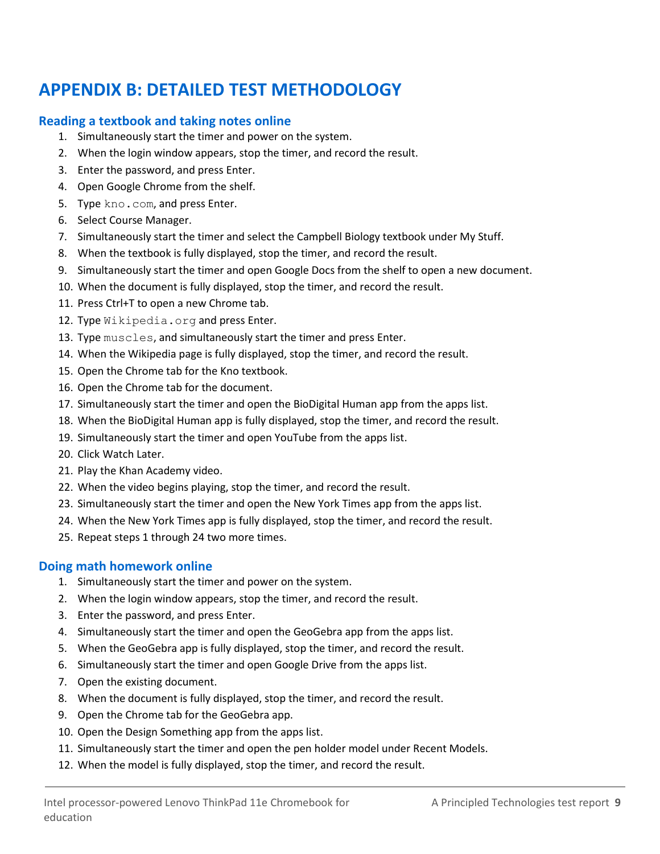# <span id="page-8-0"></span>**APPENDIX B: DETAILED TEST METHODOLOGY**

#### **Reading a textbook and taking notes online**

- 1. Simultaneously start the timer and power on the system.
- 2. When the login window appears, stop the timer, and record the result.
- 3. Enter the password, and press Enter.
- 4. Open Google Chrome from the shelf.
- 5. Type kno.com, and press Enter.
- 6. Select Course Manager.
- 7. Simultaneously start the timer and select the Campbell Biology textbook under My Stuff.
- 8. When the textbook is fully displayed, stop the timer, and record the result.
- 9. Simultaneously start the timer and open Google Docs from the shelf to open a new document.
- 10. When the document is fully displayed, stop the timer, and record the result.
- 11. Press Ctrl+T to open a new Chrome tab.
- 12. Type Wikipedia.org and press Enter.
- 13. Type muscles, and simultaneously start the timer and press Enter.
- 14. When the Wikipedia page is fully displayed, stop the timer, and record the result.
- 15. Open the Chrome tab for the Kno textbook.
- 16. Open the Chrome tab for the document.
- 17. Simultaneously start the timer and open the BioDigital Human app from the apps list.
- 18. When the BioDigital Human app is fully displayed, stop the timer, and record the result.
- 19. Simultaneously start the timer and open YouTube from the apps list.
- 20. Click Watch Later.
- 21. Play the Khan Academy video.
- 22. When the video begins playing, stop the timer, and record the result.
- 23. Simultaneously start the timer and open the New York Times app from the apps list.
- 24. When the New York Times app is fully displayed, stop the timer, and record the result.
- 25. Repeat steps 1 through 24 two more times.

#### **Doing math homework online**

- 1. Simultaneously start the timer and power on the system.
- 2. When the login window appears, stop the timer, and record the result.
- 3. Enter the password, and press Enter.
- 4. Simultaneously start the timer and open the GeoGebra app from the apps list.
- 5. When the GeoGebra app is fully displayed, stop the timer, and record the result.
- 6. Simultaneously start the timer and open Google Drive from the apps list.
- 7. Open the existing document.
- 8. When the document is fully displayed, stop the timer, and record the result.
- 9. Open the Chrome tab for the GeoGebra app.
- 10. Open the Design Something app from the apps list.
- 11. Simultaneously start the timer and open the pen holder model under Recent Models.
- 12. When the model is fully displayed, stop the timer, and record the result.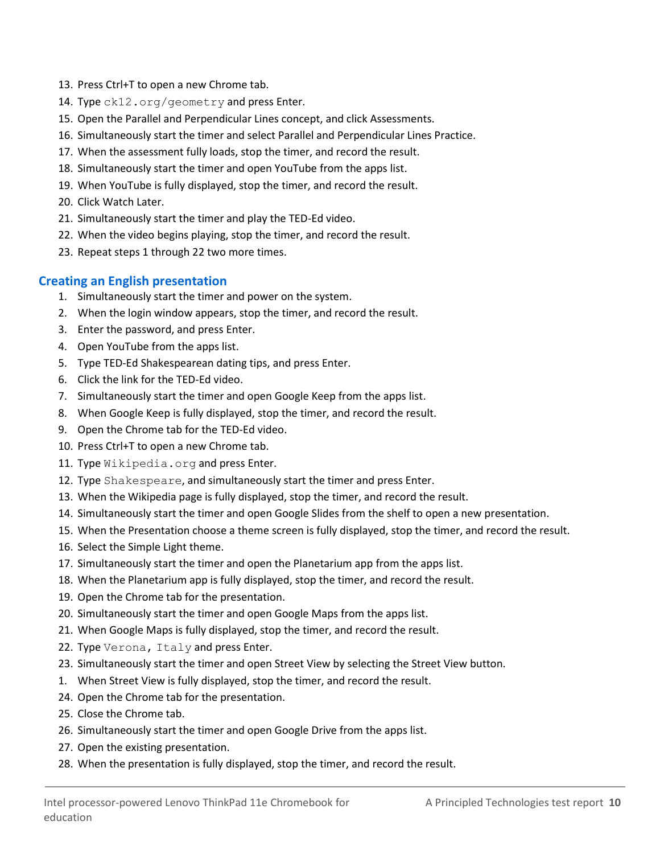- 13. Press Ctrl+T to open a new Chrome tab.
- 14. Type ck12.org/geometry and press Enter.
- 15. Open the Parallel and Perpendicular Lines concept, and click Assessments.
- 16. Simultaneously start the timer and select Parallel and Perpendicular Lines Practice.
- 17. When the assessment fully loads, stop the timer, and record the result.
- 18. Simultaneously start the timer and open YouTube from the apps list.
- 19. When YouTube is fully displayed, stop the timer, and record the result.
- 20. Click Watch Later.
- 21. Simultaneously start the timer and play the TED-Ed video.
- 22. When the video begins playing, stop the timer, and record the result.
- 23. Repeat steps 1 through 22 two more times.

#### **Creating an English presentation**

- 1. Simultaneously start the timer and power on the system.
- 2. When the login window appears, stop the timer, and record the result.
- 3. Enter the password, and press Enter.
- 4. Open YouTube from the apps list.
- 5. Type TED-Ed Shakespearean dating tips, and press Enter.
- 6. Click the link for the TED-Ed video.
- 7. Simultaneously start the timer and open Google Keep from the apps list.
- 8. When Google Keep is fully displayed, stop the timer, and record the result.
- 9. Open the Chrome tab for the TED-Ed video.
- 10. Press Ctrl+T to open a new Chrome tab.
- 11. Type Wikipedia.org and press Enter.
- 12. Type Shakespeare, and simultaneously start the timer and press Enter.
- 13. When the Wikipedia page is fully displayed, stop the timer, and record the result.
- 14. Simultaneously start the timer and open Google Slides from the shelf to open a new presentation.
- 15. When the Presentation choose a theme screen is fully displayed, stop the timer, and record the result.
- 16. Select the Simple Light theme.
- 17. Simultaneously start the timer and open the Planetarium app from the apps list.
- 18. When the Planetarium app is fully displayed, stop the timer, and record the result.
- 19. Open the Chrome tab for the presentation.
- 20. Simultaneously start the timer and open Google Maps from the apps list.
- 21. When Google Maps is fully displayed, stop the timer, and record the result.
- 22. Type Verona, Italy and press Enter.
- 23. Simultaneously start the timer and open Street View by selecting the Street View button.
- 1. When Street View is fully displayed, stop the timer, and record the result.
- 24. Open the Chrome tab for the presentation.
- 25. Close the Chrome tab.
- 26. Simultaneously start the timer and open Google Drive from the apps list.
- 27. Open the existing presentation.
- 28. When the presentation is fully displayed, stop the timer, and record the result.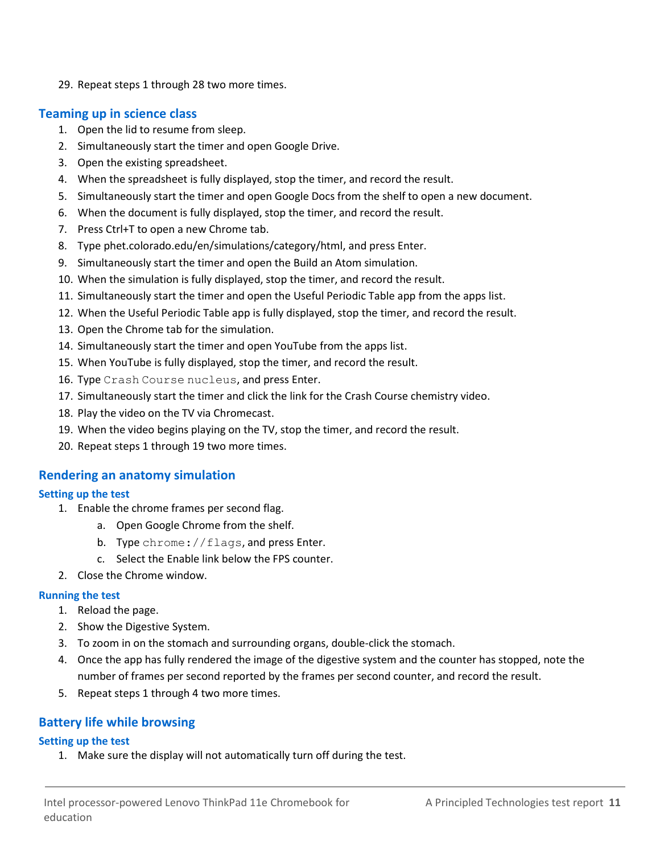29. Repeat steps 1 through 28 two more times.

#### **Teaming up in science class**

- 1. Open the lid to resume from sleep.
- 2. Simultaneously start the timer and open Google Drive.
- 3. Open the existing spreadsheet.
- 4. When the spreadsheet is fully displayed, stop the timer, and record the result.
- 5. Simultaneously start the timer and open Google Docs from the shelf to open a new document.
- 6. When the document is fully displayed, stop the timer, and record the result.
- 7. Press Ctrl+T to open a new Chrome tab.
- 8. Type phet.colorado.edu/en/simulations/category/html, and press Enter.
- 9. Simultaneously start the timer and open the Build an Atom simulation.
- 10. When the simulation is fully displayed, stop the timer, and record the result.
- 11. Simultaneously start the timer and open the Useful Periodic Table app from the apps list.
- 12. When the Useful Periodic Table app is fully displayed, stop the timer, and record the result.
- 13. Open the Chrome tab for the simulation.
- 14. Simultaneously start the timer and open YouTube from the apps list.
- 15. When YouTube is fully displayed, stop the timer, and record the result.
- 16. Type Crash Course nucleus, and press Enter.
- 17. Simultaneously start the timer and click the link for the Crash Course chemistry video.
- 18. Play the video on the TV via Chromecast.
- 19. When the video begins playing on the TV, stop the timer, and record the result.
- 20. Repeat steps 1 through 19 two more times.

#### **Rendering an anatomy simulation**

#### **Setting up the test**

- 1. Enable the chrome frames per second flag.
	- a. Open Google Chrome from the shelf.
	- b. Type chrome: //flags, and press Enter.
	- c. Select the Enable link below the FPS counter.
- 2. Close the Chrome window.

#### **Running the test**

- 1. Reload the page.
- 2. Show the Digestive System.
- 3. To zoom in on the stomach and surrounding organs, double-click the stomach.
- 4. Once the app has fully rendered the image of the digestive system and the counter has stopped, note the number of frames per second reported by the frames per second counter, and record the result.
- 5. Repeat steps 1 through 4 two more times.

#### **Battery life while browsing**

#### **Setting up the test**

1. Make sure the display will not automatically turn off during the test.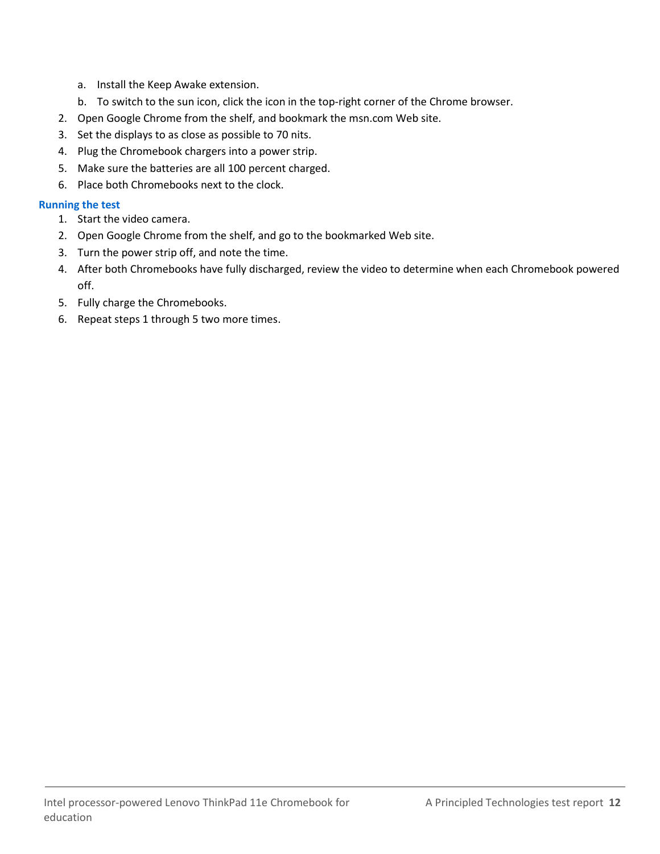- a. Install the Keep Awake extension.
- b. To switch to the sun icon, click the icon in the top-right corner of the Chrome browser.
- 2. Open Google Chrome from the shelf, and bookmark the msn.com Web site.
- 3. Set the displays to as close as possible to 70 nits.
- 4. Plug the Chromebook chargers into a power strip.
- 5. Make sure the batteries are all 100 percent charged.
- 6. Place both Chromebooks next to the clock.

#### **Running the test**

- 1. Start the video camera.
- 2. Open Google Chrome from the shelf, and go to the bookmarked Web site.
- 3. Turn the power strip off, and note the time.
- 4. After both Chromebooks have fully discharged, review the video to determine when each Chromebook powered off.
- 5. Fully charge the Chromebooks.
- 6. Repeat steps 1 through 5 two more times.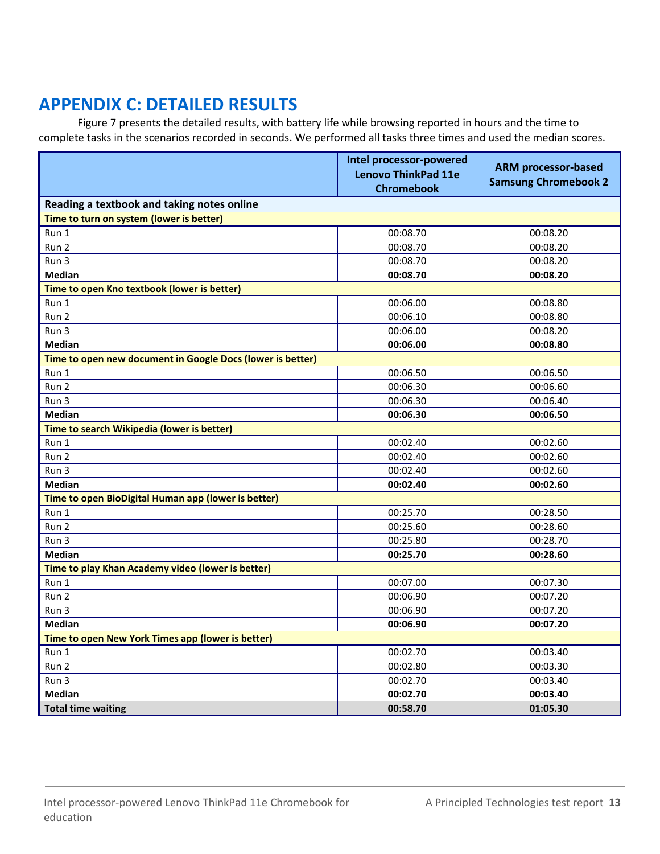# <span id="page-12-0"></span>**APPENDIX C: DETAILED RESULTS**

Figure 7 presents the detailed results, with battery life while browsing reported in hours and the time to complete tasks in the scenarios recorded in seconds. We performed all tasks three times and used the median scores.

|                                                            | Intel processor-powered<br><b>Lenovo ThinkPad 11e</b><br><b>Chromebook</b> | <b>ARM processor-based</b><br><b>Samsung Chromebook 2</b> |  |  |
|------------------------------------------------------------|----------------------------------------------------------------------------|-----------------------------------------------------------|--|--|
| Reading a textbook and taking notes online                 |                                                                            |                                                           |  |  |
| Time to turn on system (lower is better)                   |                                                                            |                                                           |  |  |
| Run 1                                                      | 00:08.70                                                                   | 00:08.20                                                  |  |  |
| Run <sub>2</sub>                                           | 00:08.70                                                                   | 00:08.20                                                  |  |  |
| Run 3                                                      | 00:08.70                                                                   | 00:08.20                                                  |  |  |
| <b>Median</b>                                              | 00:08.70                                                                   | 00:08.20                                                  |  |  |
| Time to open Kno textbook (lower is better)                |                                                                            |                                                           |  |  |
| Run 1                                                      | 00:06.00                                                                   | 00:08.80                                                  |  |  |
| Run 2                                                      | 00:06.10                                                                   | 00:08.80                                                  |  |  |
| Run 3                                                      | 00:06.00                                                                   | 00:08.20                                                  |  |  |
| <b>Median</b>                                              | 00:06.00                                                                   | 00:08.80                                                  |  |  |
| Time to open new document in Google Docs (lower is better) |                                                                            |                                                           |  |  |
| Run 1                                                      | 00:06.50                                                                   | 00:06.50                                                  |  |  |
| Run 2                                                      | 00:06.30                                                                   | 00:06.60                                                  |  |  |
| Run 3                                                      | 00:06.30                                                                   | 00:06.40                                                  |  |  |
| <b>Median</b>                                              | 00:06.30                                                                   | 00:06.50                                                  |  |  |
| Time to search Wikipedia (lower is better)                 |                                                                            |                                                           |  |  |
| Run 1                                                      | 00:02.40                                                                   | 00:02.60                                                  |  |  |
| Run 2                                                      | 00:02.40                                                                   | 00:02.60                                                  |  |  |
| Run 3                                                      | 00:02.40                                                                   | 00:02.60                                                  |  |  |
| <b>Median</b>                                              | 00:02.40                                                                   | 00:02.60                                                  |  |  |
| Time to open BioDigital Human app (lower is better)        |                                                                            |                                                           |  |  |
| Run 1                                                      | 00:25.70                                                                   | 00:28.50                                                  |  |  |
| Run 2                                                      | 00:25.60                                                                   | 00:28.60                                                  |  |  |
| Run 3                                                      | 00:25.80                                                                   | 00:28.70                                                  |  |  |
| <b>Median</b>                                              | 00:25.70                                                                   | 00:28.60                                                  |  |  |
| Time to play Khan Academy video (lower is better)          |                                                                            |                                                           |  |  |
| Run 1                                                      | 00:07.00                                                                   | 00:07.30                                                  |  |  |
| Run 2                                                      | 00:06.90                                                                   | 00:07.20                                                  |  |  |
| Run 3                                                      | 00:06.90                                                                   | 00:07.20                                                  |  |  |
| <b>Median</b>                                              | 00:06.90                                                                   | 00:07.20                                                  |  |  |
| Time to open New York Times app (lower is better)          |                                                                            |                                                           |  |  |
| Run 1                                                      | 00:02.70                                                                   | 00:03.40                                                  |  |  |
| Run <sub>2</sub>                                           | 00:02.80                                                                   | 00:03.30                                                  |  |  |
| Run 3                                                      | 00:02.70                                                                   | 00:03.40                                                  |  |  |
| <b>Median</b>                                              | 00:02.70                                                                   | 00:03.40                                                  |  |  |
| <b>Total time waiting</b>                                  | 00:58.70                                                                   | 01:05.30                                                  |  |  |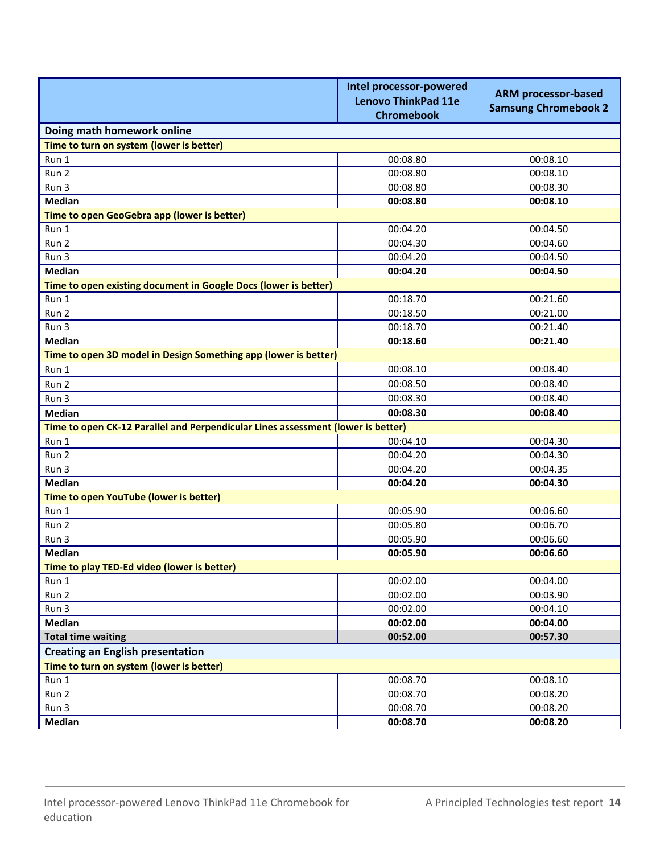|                                                                                  | Intel processor-powered<br><b>Lenovo ThinkPad 11e</b><br><b>Chromebook</b> | <b>ARM processor-based</b><br><b>Samsung Chromebook 2</b> |  |  |
|----------------------------------------------------------------------------------|----------------------------------------------------------------------------|-----------------------------------------------------------|--|--|
| Doing math homework online                                                       |                                                                            |                                                           |  |  |
| Time to turn on system (lower is better)                                         |                                                                            |                                                           |  |  |
| Run 1                                                                            | 00:08.80                                                                   | 00:08.10                                                  |  |  |
| Run 2                                                                            | 00:08.80                                                                   | 00:08.10                                                  |  |  |
| Run 3                                                                            | 00:08.80                                                                   | 00:08.30                                                  |  |  |
| <b>Median</b>                                                                    | 00:08.80                                                                   | 00:08.10                                                  |  |  |
| Time to open GeoGebra app (lower is better)                                      |                                                                            |                                                           |  |  |
| Run 1                                                                            | 00:04.20                                                                   | 00:04.50                                                  |  |  |
| Run 2                                                                            | 00:04.30                                                                   | 00:04.60                                                  |  |  |
| Run 3                                                                            | 00:04.20                                                                   | 00:04.50                                                  |  |  |
| <b>Median</b>                                                                    | 00:04.20                                                                   | 00:04.50                                                  |  |  |
| Time to open existing document in Google Docs (lower is better)                  |                                                                            |                                                           |  |  |
| Run 1                                                                            | 00:18.70                                                                   | 00:21.60                                                  |  |  |
| Run 2                                                                            | 00:18.50                                                                   | 00:21.00                                                  |  |  |
| Run 3                                                                            | 00:18.70                                                                   | 00:21.40                                                  |  |  |
| <b>Median</b>                                                                    | 00:18.60                                                                   | 00:21.40                                                  |  |  |
| Time to open 3D model in Design Something app (lower is better)                  |                                                                            |                                                           |  |  |
| Run 1                                                                            | 00:08.10                                                                   | 00:08.40                                                  |  |  |
| Run 2                                                                            | 00:08.50                                                                   | 00:08.40                                                  |  |  |
| Run 3                                                                            | 00:08.30                                                                   | 00:08.40                                                  |  |  |
| <b>Median</b>                                                                    | 00:08.30                                                                   | 00:08.40                                                  |  |  |
| Time to open CK-12 Parallel and Perpendicular Lines assessment (lower is better) |                                                                            |                                                           |  |  |
| Run 1                                                                            | 00:04.10                                                                   | 00:04.30                                                  |  |  |
| Run 2                                                                            | 00:04.20                                                                   | 00:04.30                                                  |  |  |
| Run 3                                                                            | 00:04.20                                                                   | 00:04.35                                                  |  |  |
| <b>Median</b>                                                                    | 00:04.20                                                                   | 00:04.30                                                  |  |  |
| Time to open YouTube (lower is better)                                           |                                                                            |                                                           |  |  |
| Run 1                                                                            | 00:05.90                                                                   | 00:06.60                                                  |  |  |
| Run 2                                                                            | 00:05.80                                                                   | 00:06.70                                                  |  |  |
| Run 3                                                                            | 00:05.90                                                                   | 00:06.60                                                  |  |  |
| <b>Median</b>                                                                    | 00:05.90                                                                   | 00:06.60                                                  |  |  |
| Time to play TED-Ed video (lower is better)                                      |                                                                            |                                                           |  |  |
| Run 1                                                                            | 00:02.00                                                                   | 00:04.00                                                  |  |  |
| Run 2                                                                            | 00:02.00                                                                   | 00:03.90                                                  |  |  |
| Run 3                                                                            | 00:02.00                                                                   | 00:04.10                                                  |  |  |
| Median                                                                           | 00:02.00                                                                   | 00:04.00                                                  |  |  |
| <b>Total time waiting</b>                                                        | 00:52.00                                                                   | 00:57.30                                                  |  |  |
| <b>Creating an English presentation</b>                                          |                                                                            |                                                           |  |  |
| Time to turn on system (lower is better)                                         |                                                                            |                                                           |  |  |
| Run 1                                                                            | 00:08.70                                                                   | 00:08.10                                                  |  |  |
| Run 2                                                                            | 00:08.70                                                                   | 00:08.20                                                  |  |  |
| Run 3                                                                            | 00:08.70                                                                   | 00:08.20                                                  |  |  |
| Median                                                                           | 00:08.70                                                                   | 00:08.20                                                  |  |  |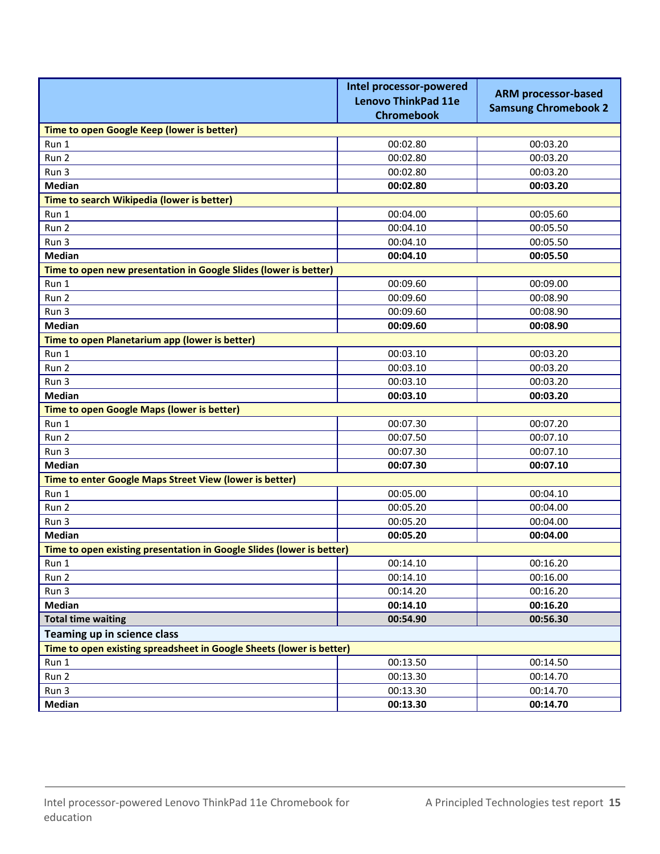|                                                                       | Intel processor-powered<br><b>Lenovo ThinkPad 11e</b><br><b>Chromebook</b> | <b>ARM processor-based</b><br><b>Samsung Chromebook 2</b> |  |  |
|-----------------------------------------------------------------------|----------------------------------------------------------------------------|-----------------------------------------------------------|--|--|
| Time to open Google Keep (lower is better)                            |                                                                            |                                                           |  |  |
| Run 1                                                                 | 00:02.80                                                                   | 00:03.20                                                  |  |  |
| Run 2                                                                 | 00:02.80                                                                   | 00:03.20                                                  |  |  |
| Run 3                                                                 | 00:02.80                                                                   | 00:03.20                                                  |  |  |
| <b>Median</b>                                                         | 00:02.80                                                                   | 00:03.20                                                  |  |  |
| Time to search Wikipedia (lower is better)                            |                                                                            |                                                           |  |  |
| Run 1                                                                 | 00:04.00                                                                   | 00:05.60                                                  |  |  |
| Run 2                                                                 | 00:04.10                                                                   | 00:05.50                                                  |  |  |
| Run 3                                                                 | 00:04.10                                                                   | 00:05.50                                                  |  |  |
| <b>Median</b>                                                         | 00:04.10                                                                   | 00:05.50                                                  |  |  |
| Time to open new presentation in Google Slides (lower is better)      |                                                                            |                                                           |  |  |
| Run 1                                                                 | 00:09.60                                                                   | 00:09.00                                                  |  |  |
| Run 2                                                                 | 00:09.60                                                                   | 00:08.90                                                  |  |  |
| Run 3                                                                 | 00:09.60                                                                   | 00:08.90                                                  |  |  |
| <b>Median</b>                                                         | 00:09.60                                                                   | 00:08.90                                                  |  |  |
| Time to open Planetarium app (lower is better)                        |                                                                            |                                                           |  |  |
| Run 1                                                                 | 00:03.10                                                                   | 00:03.20                                                  |  |  |
| Run 2                                                                 | 00:03.10                                                                   | 00:03.20                                                  |  |  |
| Run 3                                                                 | 00:03.10                                                                   | 00:03.20                                                  |  |  |
| <b>Median</b>                                                         | 00:03.10                                                                   | 00:03.20                                                  |  |  |
| Time to open Google Maps (lower is better)                            |                                                                            |                                                           |  |  |
| Run 1                                                                 | 00:07.30                                                                   | 00:07.20                                                  |  |  |
| Run 2                                                                 | 00:07.50                                                                   | 00:07.10                                                  |  |  |
| Run 3                                                                 | 00:07.30                                                                   | 00:07.10                                                  |  |  |
| <b>Median</b>                                                         | 00:07.30                                                                   | 00:07.10                                                  |  |  |
| Time to enter Google Maps Street View (lower is better)               |                                                                            |                                                           |  |  |
| Run 1                                                                 | 00:05.00                                                                   | 00:04.10                                                  |  |  |
| Run 2                                                                 | 00:05.20                                                                   | 00:04.00                                                  |  |  |
| Run 3                                                                 | 00:05.20                                                                   | 00:04.00                                                  |  |  |
| <b>Median</b>                                                         | 00:05.20                                                                   | 00:04.00                                                  |  |  |
| Time to open existing presentation in Google Slides (lower is better) |                                                                            |                                                           |  |  |
| Run 1                                                                 | 00:14.10                                                                   | 00:16.20                                                  |  |  |
| Run 2                                                                 | 00:14.10                                                                   | 00:16.00                                                  |  |  |
| Run 3                                                                 | 00:14.20                                                                   | 00:16.20                                                  |  |  |
| <b>Median</b>                                                         | 00:14.10                                                                   | 00:16.20                                                  |  |  |
| <b>Total time waiting</b>                                             | 00:54.90                                                                   | 00:56.30                                                  |  |  |
| Teaming up in science class                                           |                                                                            |                                                           |  |  |
| Time to open existing spreadsheet in Google Sheets (lower is better)  |                                                                            |                                                           |  |  |
| Run 1                                                                 | 00:13.50                                                                   | 00:14.50                                                  |  |  |
| Run 2                                                                 | 00:13.30                                                                   | 00:14.70                                                  |  |  |
| Run 3                                                                 | 00:13.30                                                                   | 00:14.70                                                  |  |  |
| Median                                                                | 00:13.30                                                                   | 00:14.70                                                  |  |  |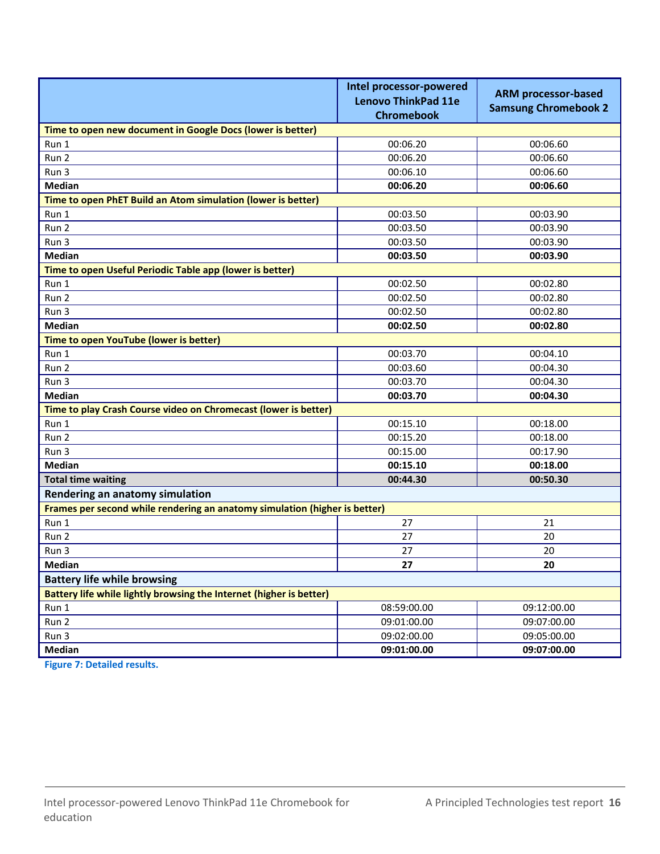|                                                                            | Intel processor-powered<br><b>Lenovo ThinkPad 11e</b><br><b>Chromebook</b> | <b>ARM processor-based</b><br><b>Samsung Chromebook 2</b> |  |  |
|----------------------------------------------------------------------------|----------------------------------------------------------------------------|-----------------------------------------------------------|--|--|
| Time to open new document in Google Docs (lower is better)                 |                                                                            |                                                           |  |  |
| Run 1                                                                      | 00:06.20                                                                   | 00:06.60                                                  |  |  |
| Run 2                                                                      | 00:06.20                                                                   | 00:06.60                                                  |  |  |
| Run 3                                                                      | 00:06.10                                                                   | 00:06.60                                                  |  |  |
| <b>Median</b>                                                              | 00:06.20                                                                   | 00:06.60                                                  |  |  |
| Time to open PhET Build an Atom simulation (lower is better)               |                                                                            |                                                           |  |  |
| Run 1                                                                      | 00:03.50                                                                   | 00:03.90                                                  |  |  |
| Run 2                                                                      | 00:03.50                                                                   | 00:03.90                                                  |  |  |
| Run 3                                                                      | 00:03.50                                                                   | 00:03.90                                                  |  |  |
| <b>Median</b>                                                              | 00:03.50                                                                   | 00:03.90                                                  |  |  |
| Time to open Useful Periodic Table app (lower is better)                   |                                                                            |                                                           |  |  |
| Run 1                                                                      | 00:02.50                                                                   | 00:02.80                                                  |  |  |
| Run 2                                                                      | 00:02.50                                                                   | 00:02.80                                                  |  |  |
| Run 3                                                                      | 00:02.50                                                                   | 00:02.80                                                  |  |  |
| <b>Median</b>                                                              | 00:02.50                                                                   | 00:02.80                                                  |  |  |
| Time to open YouTube (lower is better)                                     |                                                                            |                                                           |  |  |
| Run 1                                                                      | 00:03.70                                                                   | 00:04.10                                                  |  |  |
| Run 2                                                                      | 00:03.60                                                                   | 00:04.30                                                  |  |  |
| Run 3                                                                      | 00:03.70                                                                   | 00:04.30                                                  |  |  |
| <b>Median</b>                                                              | 00:03.70                                                                   | 00:04.30                                                  |  |  |
| Time to play Crash Course video on Chromecast (lower is better)            |                                                                            |                                                           |  |  |
| Run 1                                                                      | 00:15.10                                                                   | 00:18.00                                                  |  |  |
| Run 2                                                                      | 00:15.20                                                                   | 00:18.00                                                  |  |  |
| Run 3                                                                      | 00:15.00                                                                   | 00:17.90                                                  |  |  |
| <b>Median</b>                                                              | 00:15.10                                                                   | 00:18.00                                                  |  |  |
| <b>Total time waiting</b>                                                  | 00:44.30                                                                   | 00:50.30                                                  |  |  |
| Rendering an anatomy simulation                                            |                                                                            |                                                           |  |  |
| Frames per second while rendering an anatomy simulation (higher is better) |                                                                            |                                                           |  |  |
| Run 1                                                                      | 27                                                                         | 21                                                        |  |  |
| Run 2                                                                      | 27                                                                         | 20                                                        |  |  |
| Run 3                                                                      | 27                                                                         | 20                                                        |  |  |
| Median                                                                     | 27                                                                         | 20                                                        |  |  |
| <b>Battery life while browsing</b>                                         |                                                                            |                                                           |  |  |
| Battery life while lightly browsing the Internet (higher is better)        |                                                                            |                                                           |  |  |
| Run 1                                                                      | 08:59:00.00                                                                | 09:12:00.00                                               |  |  |
| Run 2                                                                      | 09:01:00.00                                                                | 09:07:00.00                                               |  |  |
| Run 3                                                                      | 09:02:00.00                                                                | 09:05:00.00                                               |  |  |
| Median                                                                     | 09:01:00.00                                                                | 09:07:00.00                                               |  |  |

**Figure 7: Detailed results.**